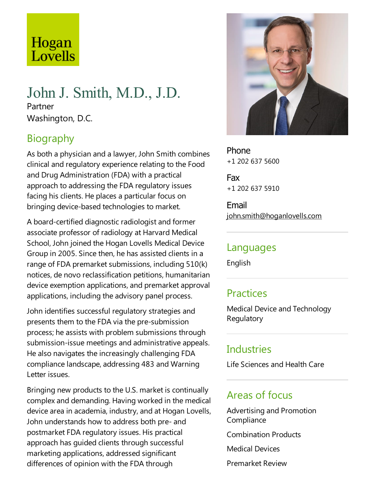# Hogan Lovells

### John J. Smith, M.D., J.D. Partner Washington, D.C.

## Biography

As both a physician and alawyer, John Smith combines clinical and regulatory experience relating to the Food and Drug Administration (FDA) with a practical approach to addressing the FDA regulatory issues facing his clients. He places a particular focus on bringing device-based technologies to market.

A board-certified diagnostic radiologist and former associate professor of radiology at Harvard Medical School, John joined the Hogan Lovells Medical Device Group in 2005. Since then, he has assisted clients in a range of FDA premarket submissions, including 510(k) notices, de novo reclassification petitions, humanitarian device exemption applications, and premarket approval applications, including the advisory panel process.

John identifies successful regulatory strategies and presents them to the FDA via the pre-submission process; he assists with problem submissions through submission-issue meetings and administrative appeals. He also navigates the increasingly challenging FDA compliance landscape, addressing 483 and Warning Letter issues.

Bringing new products to the U.S. market is continually complex and demanding. Having worked in the medical device area in academia, industry, and at Hogan Lovells, John understands how to address both pre-and postmarket FDA regulatory issues. His practical approach has guided clients through successful marketing applications, addressed significant differences of opinion with the FDA through



Phone +1 202 637 5600

Fax +1 202 637 5910

Email john.smith@hoganlovells.com

#### Languages

English

#### **Practices**

Medical Device and Technology **Regulatory** 

#### **Industries**

Life Sciences and Health Care

#### Areas of focus

Advertising and Promotion **Compliance** 

Combination Products

Medical Devices

Premarket Review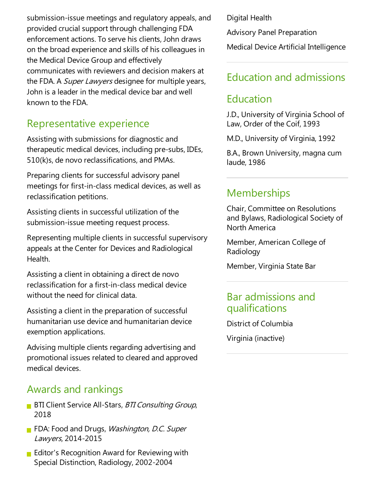submission-issue meetings and regulatory appeals, and provided crucial support through challenging FDA enforcement actions. To serve his clients, John draws on the broad experience and skills of his colleagues in the Medical Device Group and effectively communicates with reviewers and decision makers at the FDA. A *Super Lawyers* designee for multiple years, John is aleader in the medical device bar and well known to the FDA.

#### Representative experience

Assisting with submissions for diagnosticand therapeutic medical devices, including pre-subs, IDEs, 510(k)s, de novo reclassifications,and PMAs.

Preparing clients for successful advisory panel meetings for first-in-class medical devices, as well as reclassification petitions.

Assisting clients in successful utilization of the submission-issue meeting request process.

Representing multiple clients in successful supervisory appeals at the Center for Devices and Radiological Health.

Assisting a client in obtaining a direct de novo reclassification for afirst-in-class medical device without the need for clinical data.

Assisting a client in the preparation of successful humanitarian use device and humanitarian device exemption applications.

Advising multiple clients regarding advertising and promotional issues related to cleared and approved medical devices.

#### Awards and rankings

- **BTI Client Service All-Stars, BTI Consulting Group,** 2018
- FDA: Food and Drugs, Washington, D.C. Super Lawyers, 2014-2015
- **Editor's Recognition Award for Reviewing with** Special Distinction, Radiology, 2002-2004

Digital Health

Advisory Panel Preparation

Medical Device Artificial Intelligence

## Education and admissions

#### Education

J.D., University of Virginia School of Law, Order of the Coif, 1993

M.D., University of Virginia, 1992

B.A., Brown University, magna cum laude, 1986

## Memberships

Chair, Committee on Resolutions and Bylaws, Radiological Society of North America

Member, American College of Radiology

Member, Virginia State Bar

#### Bar admissions and qualifications

District of Columbia Virginia (inactive)